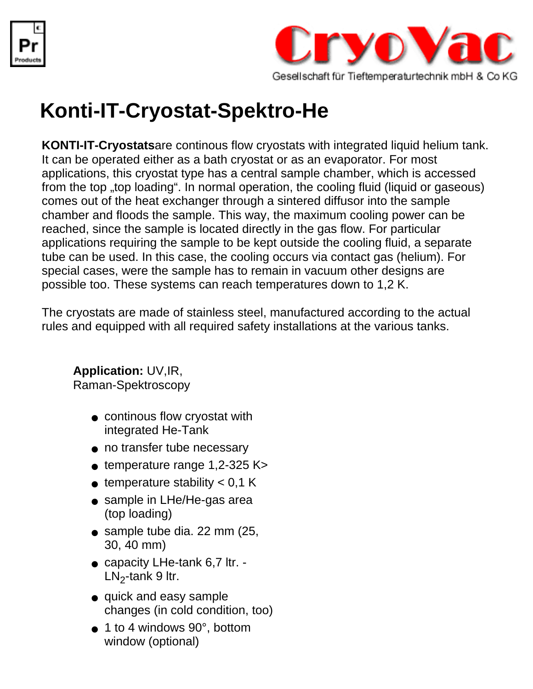



## **Konti-IT-Cryostat-Spektro-He**

**KONTI-IT-Cryostats**are continous flow cryostats with integrated liquid helium tank. It can be operated either as a bath cryostat or as an evaporator. For most applications, this cryostat type has a central sample chamber, which is accessed from the top "top loading". In normal operation, the cooling fluid (liquid or gaseous) comes out of the heat exchanger through a sintered diffusor into the sample chamber and floods the sample. This way, the maximum cooling power can be reached, since the sample is located directly in the gas flow. For particular applications requiring the sample to be kept outside the cooling fluid, a separate tube can be used. In this case, the cooling occurs via contact gas (helium). For special cases, were the sample has to remain in vacuum other designs are possible too. These systems can reach temperatures down to 1,2 K.

The cryostats are made of stainless steel, manufactured according to the actual rules and equipped with all required safety installations at the various tanks.

## **Application:** UV,IR,

Raman-Spektroscopy

- continous flow cryostat with integrated He-Tank
- no transfer tube necessary
- $\bullet$  temperature range 1,2-325 K>
- $\bullet$  temperature stability  $< 0.1$  K
- sample in LHe/He-gas area (top loading)
- sample tube dia. 22 mm (25, 30, 40 mm)
- capacity LHe-tank 6,7 ltr. - $LN<sub>2</sub>$ -tank 9 ltr.
- quick and easy sample changes (in cold condition, too)
- 1 to 4 windows 90°, bottom window (optional)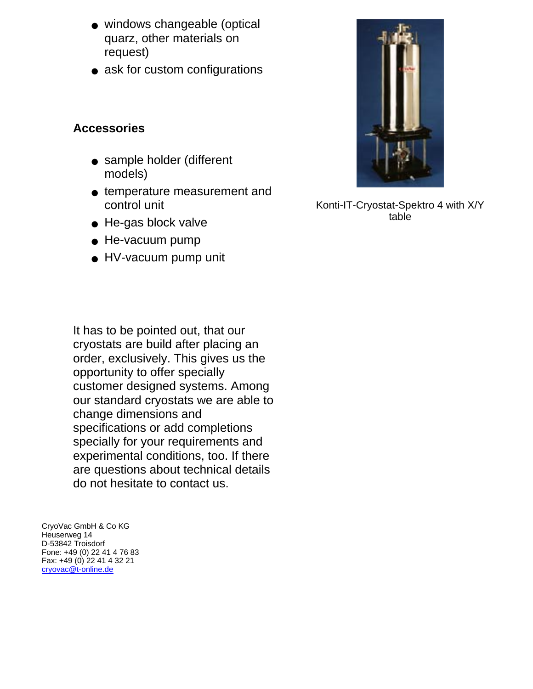- windows changeable (optical quarz, other materials on request)
- ask for custom configurations

## **Accessories**

- sample holder (different models)
- temperature measurement and control unit
- He-gas block valve
- He-vacuum pump
- HV-vacuum pump unit

It has to be pointed out, that our cryostats are build after placing an order, exclusively. This gives us the opportunity to offer specially customer designed systems. Among our standard cryostats we are able to change dimensions and specifications or add completions specially for your requirements and experimental conditions, too. If there are questions about technical details do not hesitate to contact us.

CryoVac GmbH & Co KG Heuserweg 14 D-53842 Troisdorf Fone: +49 (0) 22 41 4 76 83 Fax: +49 (0) 22 41 4 32 21 [cryovac@t-online.de](mailto:cryovac@t-online.de)



Konti-IT-Cryostat-Spektro 4 with X/Y table